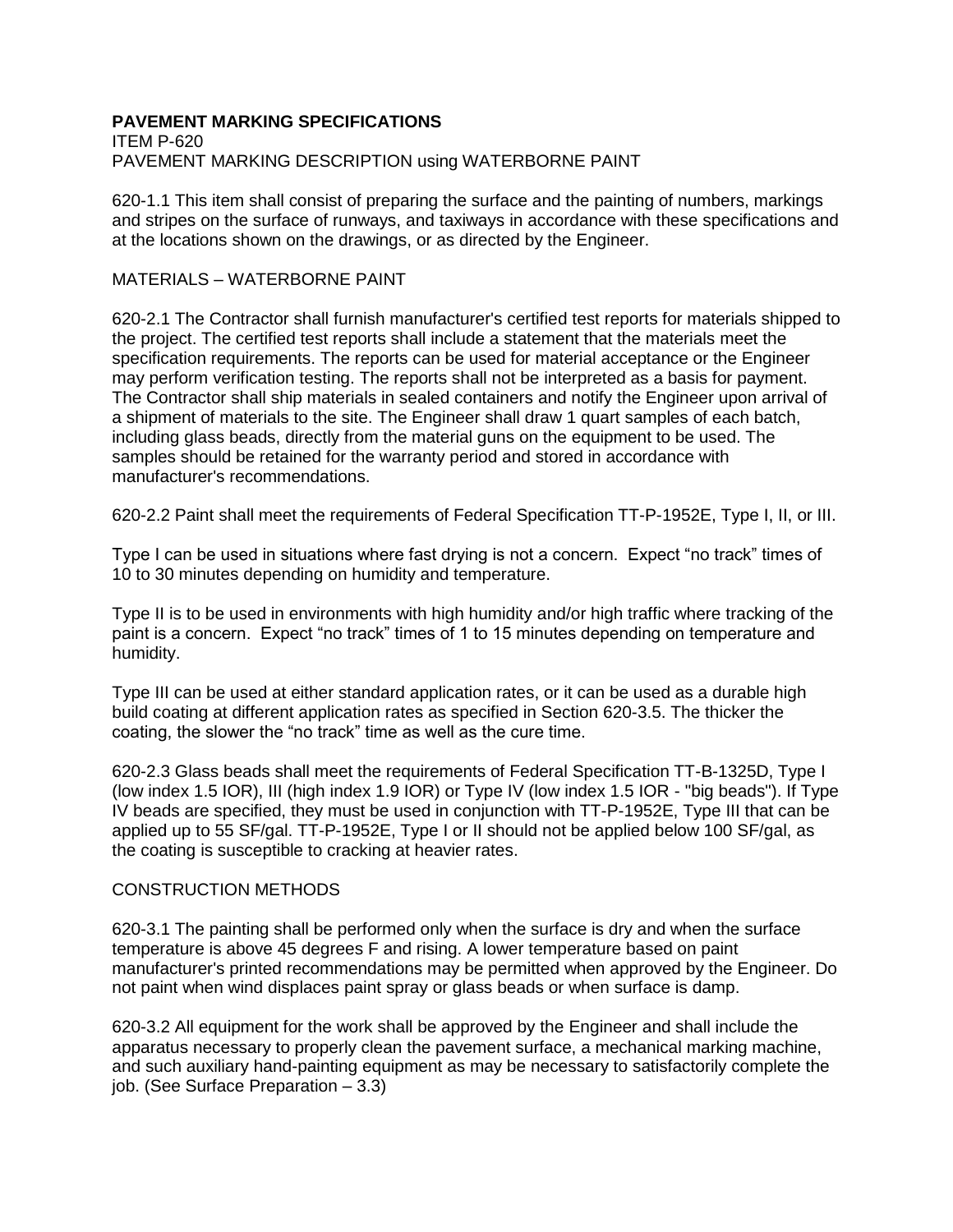# **PAVEMENT MARKING SPECIFICATIONS**

ITEM P-620 PAVEMENT MARKING DESCRIPTION using WATERBORNE PAINT

620-1.1 This item shall consist of preparing the surface and the painting of numbers, markings and stripes on the surface of runways, and taxiways in accordance with these specifications and at the locations shown on the drawings, or as directed by the Engineer.

### MATERIALS – WATERBORNE PAINT

620-2.1 The Contractor shall furnish manufacturer's certified test reports for materials shipped to the project. The certified test reports shall include a statement that the materials meet the specification requirements. The reports can be used for material acceptance or the Engineer may perform verification testing. The reports shall not be interpreted as a basis for payment. The Contractor shall ship materials in sealed containers and notify the Engineer upon arrival of a shipment of materials to the site. The Engineer shall draw 1 quart samples of each batch, including glass beads, directly from the material guns on the equipment to be used. The samples should be retained for the warranty period and stored in accordance with manufacturer's recommendations.

620-2.2 Paint shall meet the requirements of Federal Specification TT-P-1952E, Type I, II, or III.

Type I can be used in situations where fast drying is not a concern. Expect "no track" times of 10 to 30 minutes depending on humidity and temperature.

Type II is to be used in environments with high humidity and/or high traffic where tracking of the paint is a concern. Expect "no track" times of 1 to 15 minutes depending on temperature and humidity.

Type III can be used at either standard application rates, or it can be used as a durable high build coating at different application rates as specified in Section 620-3.5. The thicker the coating, the slower the "no track" time as well as the cure time.

620-2.3 Glass beads shall meet the requirements of Federal Specification TT-B-1325D, Type I (low index 1.5 IOR), III (high index 1.9 IOR) or Type IV (low index 1.5 IOR - "big beads"). If Type IV beads are specified, they must be used in conjunction with TT-P-1952E, Type III that can be applied up to 55 SF/gal. TT-P-1952E, Type I or II should not be applied below 100 SF/gal, as the coating is susceptible to cracking at heavier rates.

## CONSTRUCTION METHODS

620-3.1 The painting shall be performed only when the surface is dry and when the surface temperature is above 45 degrees F and rising. A lower temperature based on paint manufacturer's printed recommendations may be permitted when approved by the Engineer. Do not paint when wind displaces paint spray or glass beads or when surface is damp.

620-3.2 All equipment for the work shall be approved by the Engineer and shall include the apparatus necessary to properly clean the pavement surface, a mechanical marking machine, and such auxiliary hand-painting equipment as may be necessary to satisfactorily complete the job. (See Surface Preparation – 3.3)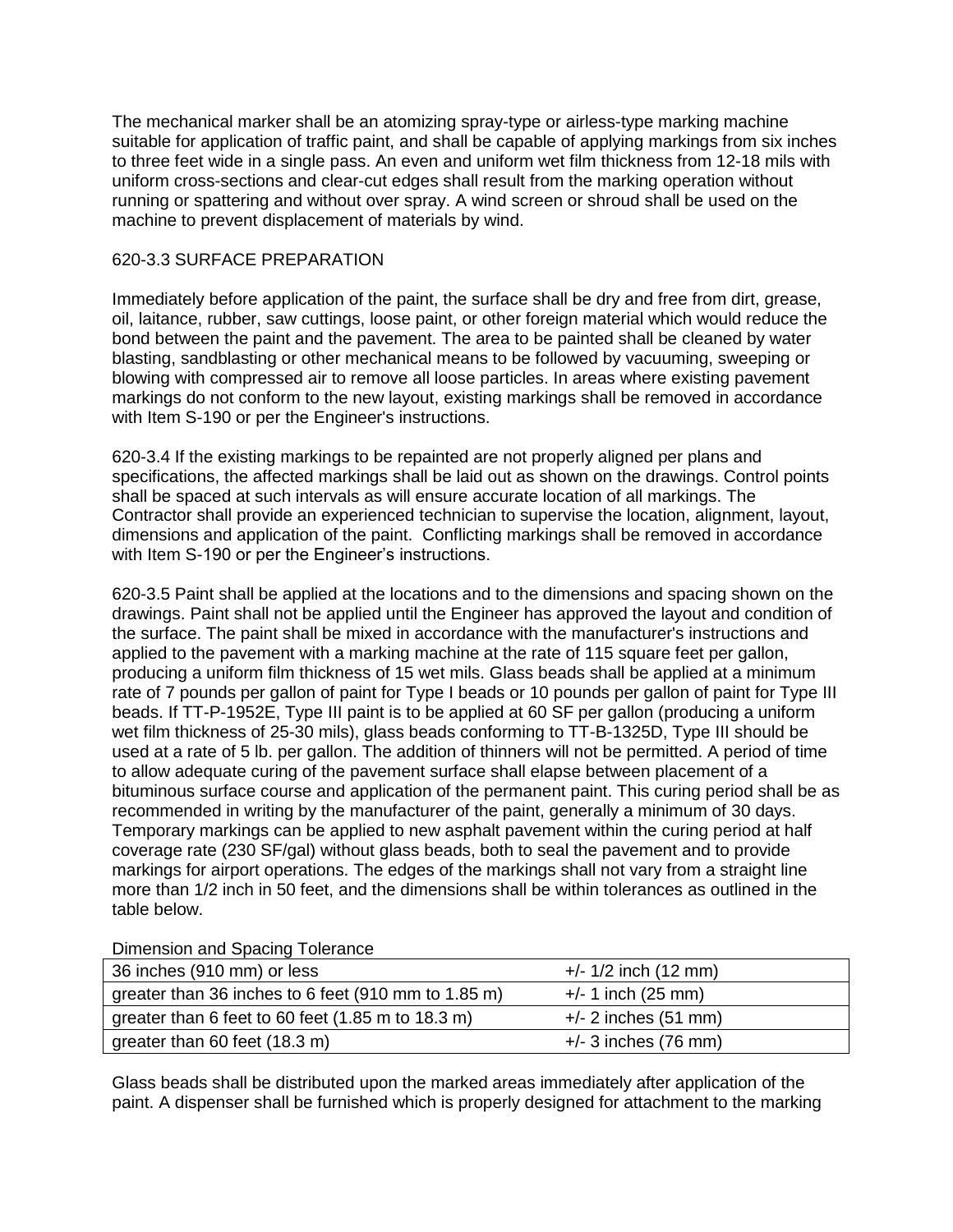The mechanical marker shall be an atomizing spray-type or airless-type marking machine suitable for application of traffic paint, and shall be capable of applying markings from six inches to three feet wide in a single pass. An even and uniform wet film thickness from 12-18 mils with uniform cross-sections and clear-cut edges shall result from the marking operation without running or spattering and without over spray. A wind screen or shroud shall be used on the machine to prevent displacement of materials by wind.

#### 620-3.3 SURFACE PREPARATION

Immediately before application of the paint, the surface shall be dry and free from dirt, grease, oil, laitance, rubber, saw cuttings, loose paint, or other foreign material which would reduce the bond between the paint and the pavement. The area to be painted shall be cleaned by water blasting, sandblasting or other mechanical means to be followed by vacuuming, sweeping or blowing with compressed air to remove all loose particles. In areas where existing pavement markings do not conform to the new layout, existing markings shall be removed in accordance with Item S-190 or per the Engineer's instructions.

620-3.4 If the existing markings to be repainted are not properly aligned per plans and specifications, the affected markings shall be laid out as shown on the drawings. Control points shall be spaced at such intervals as will ensure accurate location of all markings. The Contractor shall provide an experienced technician to supervise the location, alignment, layout, dimensions and application of the paint. Conflicting markings shall be removed in accordance with Item S-190 or per the Engineer's instructions.

620-3.5 Paint shall be applied at the locations and to the dimensions and spacing shown on the drawings. Paint shall not be applied until the Engineer has approved the layout and condition of the surface. The paint shall be mixed in accordance with the manufacturer's instructions and applied to the pavement with a marking machine at the rate of 115 square feet per gallon. producing a uniform film thickness of 15 wet mils. Glass beads shall be applied at a minimum rate of 7 pounds per gallon of paint for Type I beads or 10 pounds per gallon of paint for Type III beads. If TT-P-1952E, Type III paint is to be applied at 60 SF per gallon (producing a uniform wet film thickness of 25-30 mils), glass beads conforming to TT-B-1325D, Type III should be used at a rate of 5 lb. per gallon. The addition of thinners will not be permitted. A period of time to allow adequate curing of the pavement surface shall elapse between placement of a bituminous surface course and application of the permanent paint. This curing period shall be as recommended in writing by the manufacturer of the paint, generally a minimum of 30 days. Temporary markings can be applied to new asphalt pavement within the curing period at half coverage rate (230 SF/gal) without glass beads, both to seal the pavement and to provide markings for airport operations. The edges of the markings shall not vary from a straight line more than 1/2 inch in 50 feet, and the dimensions shall be within tolerances as outlined in the table below.

| <b>DITIGLISION AND CONSUMING</b>                    |                        |
|-----------------------------------------------------|------------------------|
| 36 inches (910 mm) or less                          | $+/- 1/2$ inch (12 mm) |
| greater than 36 inches to 6 feet (910 mm to 1.85 m) | $+/- 1$ inch (25 mm)   |
| greater than 6 feet to 60 feet (1.85 m to 18.3 m)   | $+/- 2$ inches (51 mm) |
| greater than 60 feet (18.3 m)                       | $+/-$ 3 inches (76 mm) |

Dimension and Spacing Tolerance

Glass beads shall be distributed upon the marked areas immediately after application of the paint. A dispenser shall be furnished which is properly designed for attachment to the marking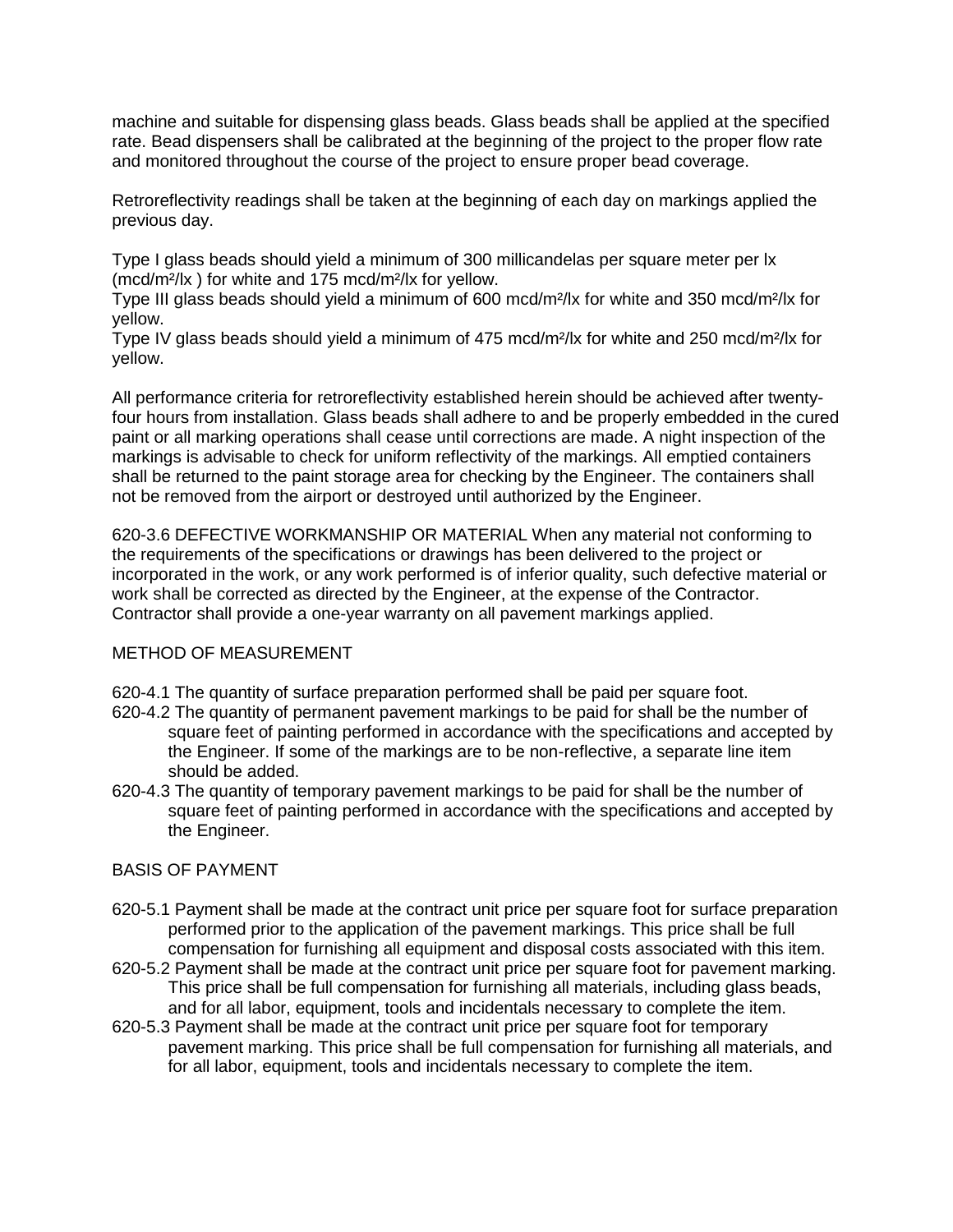machine and suitable for dispensing glass beads. Glass beads shall be applied at the specified rate. Bead dispensers shall be calibrated at the beginning of the project to the proper flow rate and monitored throughout the course of the project to ensure proper bead coverage.

Retroreflectivity readings shall be taken at the beginning of each day on markings applied the previous day.

Type I glass beads should yield a minimum of 300 millicandelas per square meter per lx (mcd/m²/lx ) for white and 175 mcd/m²/lx for yellow.

Type III glass beads should yield a minimum of 600 mcd/m²/lx for white and 350 mcd/m²/lx for yellow.

Type IV glass beads should yield a minimum of 475 mcd/m²/lx for white and 250 mcd/m²/lx for yellow.

All performance criteria for retroreflectivity established herein should be achieved after twentyfour hours from installation. Glass beads shall adhere to and be properly embedded in the cured paint or all marking operations shall cease until corrections are made. A night inspection of the markings is advisable to check for uniform reflectivity of the markings. All emptied containers shall be returned to the paint storage area for checking by the Engineer. The containers shall not be removed from the airport or destroyed until authorized by the Engineer.

620-3.6 DEFECTIVE WORKMANSHIP OR MATERIAL When any material not conforming to the requirements of the specifications or drawings has been delivered to the project or incorporated in the work, or any work performed is of inferior quality, such defective material or work shall be corrected as directed by the Engineer, at the expense of the Contractor. Contractor shall provide a one-year warranty on all pavement markings applied.

## METHOD OF MEASUREMENT

620-4.1 The quantity of surface preparation performed shall be paid per square foot.

- 620-4.2 The quantity of permanent pavement markings to be paid for shall be the number of square feet of painting performed in accordance with the specifications and accepted by the Engineer. If some of the markings are to be non-reflective, a separate line item should be added.
- 620-4.3 The quantity of temporary pavement markings to be paid for shall be the number of square feet of painting performed in accordance with the specifications and accepted by the Engineer.

#### BASIS OF PAYMENT

- 620-5.1 Payment shall be made at the contract unit price per square foot for surface preparation performed prior to the application of the pavement markings. This price shall be full compensation for furnishing all equipment and disposal costs associated with this item.
- 620-5.2 Payment shall be made at the contract unit price per square foot for pavement marking. This price shall be full compensation for furnishing all materials, including glass beads, and for all labor, equipment, tools and incidentals necessary to complete the item.
- 620-5.3 Payment shall be made at the contract unit price per square foot for temporary pavement marking. This price shall be full compensation for furnishing all materials, and for all labor, equipment, tools and incidentals necessary to complete the item.